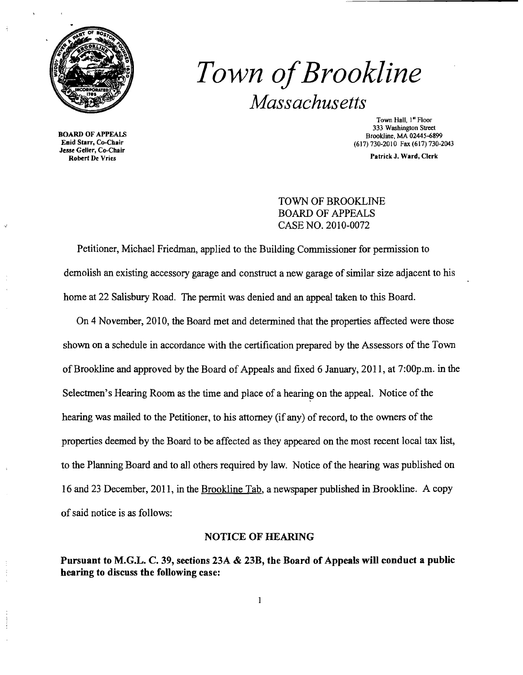

# *Town ofBrookline Massachusetts*

Jesse Geller, Co-Chair<br>Robert De Vries

Ñ,

Town Hall, 1" Floor 333 Washington Street BOARD OF APPEALS<br>
Enid Starr, Co-Chair<br>
Enid Starr, Co-Chair<br>
Enid Starr, Co-Chair (617) 730-2010 Fax (617) 730-2043

Patrick J. Ward, Clerk

## TOWN OF BROOKLINE BOARD OF APPEALS CASE NO. 2010-0072

Petitioner, Michael Friedman, applied to the Building Commissioner for pennission to demolish an existing accessory garage and construct a new garage of similar size adjacent to his home at 22 Salisbury Road. The permit was denied and an appeal taken to this Board.

On 4 November, 2010, the Board met and determined that the properties affected were those shown on a schedule in accordance with the certification prepared by the Assessors ofthe Town of Brookline and approved by the Board of Appeals and fixed 6 January, 2011, at 7:00p.m. in the Selectmen's Hearing Room as the time and place of a hearing on the appeal. Notice of the hearing was mailed to the Petitioner, to his attorney (if any) of record, to the owners of the properties deemed by the Board to be affected as they appeared on the most recent local tax list, to the Planning Board and to all others required by law. Notice of the hearing was published on 16 and 23 December, 2011, in the Brookline Tab, a newspaper published in Brookline. A copy ofsaid notice is as follows:

### NOTICE OF HEARING

Pursuant to M.G.L. C. 39, sections 23A & 23B, the Board of Appeals will conduct a public hearing to discuss the following case: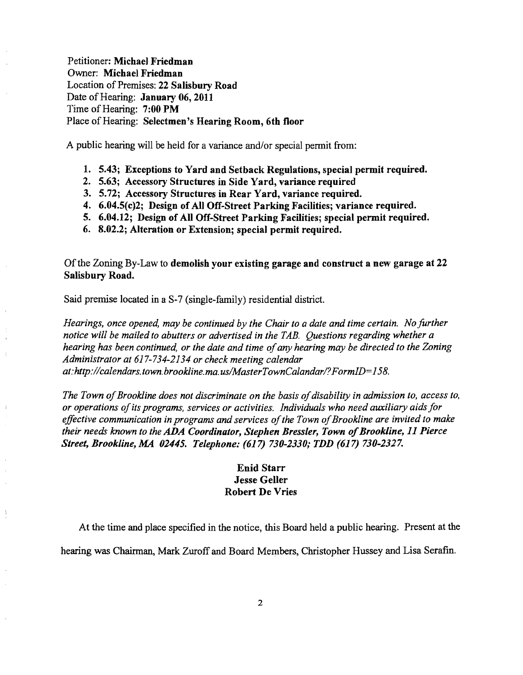Petitioner: Michael Friedman Owner: Michael Friedman Location of Premises: 22 Salisbury Road Date of Hearing: January 06, 2011 Time of Hearing: 7:00 PM Place of Hearing: Selectmen's Hearing Room, 6th floor

A public hearing will be held for a variance and/or special permit from:

- 1. 5.43; Exceptions to Yard and Setback Regulations, special permit required.
- 2. 5.63; Accessory Structures in Side Yard, variance required
- 3. 5.72; Accessory Structures in Rear Yard, variance required.
- 4. 6.04.5(c)2; Design of All Off-Street Parking Facilities; variance required.
- 5. 6.04.12; Design of All Off-Street Parking Facilities; special permit required.
- 6. 8.02.2; Alteration or Extension; special permit required.

Of the Zoning By-Law to demolish your existing garage and construct a new garage at  $22$ Salisbury Road.

Said premise located in a S-7 (single-family) residential district.

Ĵ.

*Hearings, once opened, may be continued by the Chair to a date and time certain. No further notice will be mailed to abutters or advertised in the TAB. Questions regarding whether a hearing has been continued, or the date and time ofany hearing may be directed to the Zoning Administrator at* 617-734-2134 *or check meeting calendar at:http://calendars.town.brookline.ma.usIMasterTownCalandarl?FormID=158.* 

*The Town of Brookline does not discriminate on the basis of disability in admission to, access to, or operations ofits programs, services or activities. Individuals who need auxiliary aids for effective communication in programs and services of the Town of Brookline are invited to make their needs known to the ADA Coordinator, Stephen Bressler, Town of Brookline, 11 Pierce Street, Brookline, MA 02445. Telephone:* (617) *730-2330; TDD* (617) *730-2327.* 

## Enid Starr Jesse Geller Robert De Vries

At the time and place specified in the notice, this Board held a public hearing. Present at the hearing was Chairman, Mark Zuroff and Board Members, Christopher Hussey and Lisa Serafin.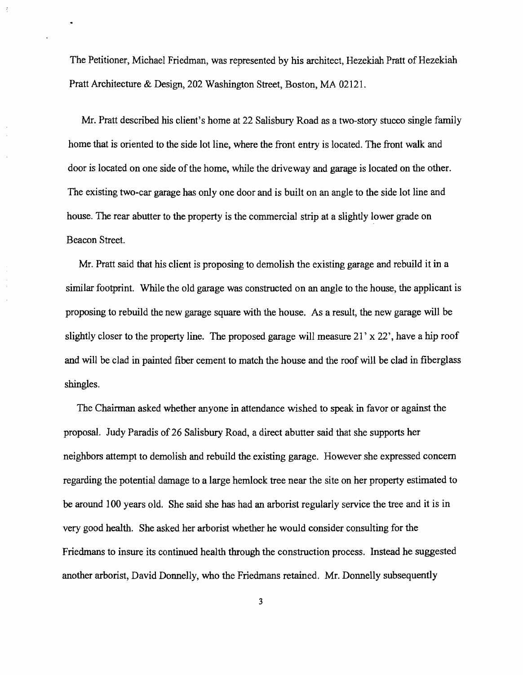The Petitioner, Michael Friedman, was represented by his architect, Hezekiah Pratt of Hezekiah Pratt Architecture & Design, 202 Washington Street, Boston, MA 02121.

Mr. Pratt described his client's home at 22 Salisbury Road as a two-story stucco single family home that is oriented to the side lot line, where the front entry is located. The front walk and door is located on one side of the home, while the driveway and garage is located on the other. The existing two-car garage has only one door and is built on an angle to the side lot line and house. The rear abutter to the property is the commercial strip at a slightly lower grade on Beacon Street.

Mr. Pratt said that his client is proposing to demolish the existing garage and rebuild it in a similar footprint. While the old garage was constructed on an angle to the house, the applicant is proposing to rebuild the new garage square with the house. As a result, the new garage will be slightly closer to the property line. The proposed garage will measure 21' x 22', have a hip roof and will be clad in painted fiber cement to match the house and the roof will be clad in fiberglass shingles.

The Chairman asked whether anyone in attendance wished to speak in favor or against the proposal. Judy Paradis of 26 Salisbury Road, a direct abutter said that she supports her neighbors attempt to demolish and rebuild the existing garage. However she expressed concern regarding the potential damage to a large hemlock tree near the site on her property estimated to be around 100 years old. She said she has had an arborist regularly service the tree and it is in very good health. She asked her arborist whether he would consider consulting for the Friedmans to insure its continued health through the construction process. Instead he suggested another arborist, David Donnelly, who the Friedmans retained. Mr. Donnelly subsequently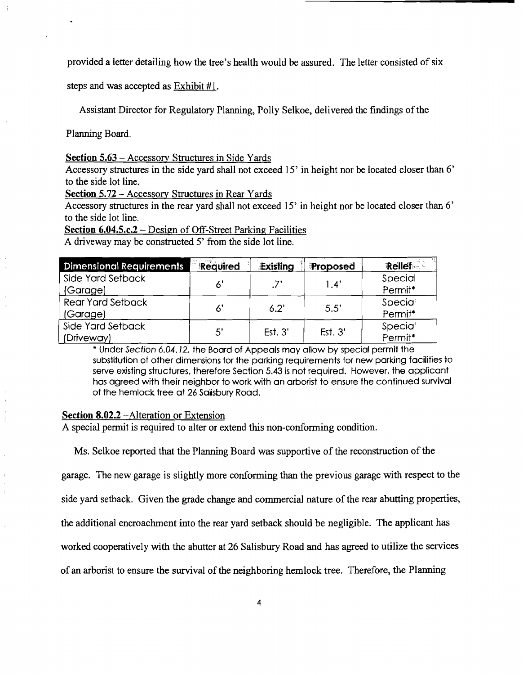provided a letter detailing how the tree's health would be assured. The letter consisted of six

steps and was accepted as  $\frac{Exhibit #1}{.}$ 

Assistant Director for Regulatory Planning, Polly Selkoe, delivered the findings of the

Planning Board.

Section 5.63 - Accessory Structures in Side Yards

Accessory structures in the side yard shall not exceed 15' in height nor be located closer than 6' to the side lot line.

Section 5.72 - Accessory Structures in Rear Yards

Accessory structures in the rear yard shall not exceed 15' in height nor be located closer than 6' to the side lot line.

Section 6.04.5.c.2 – Design of Off-Street Parking Facilities A driveway may be constructed 5' from the side lot line.

| <b>Dimensional Requirements</b> | Required | Existing | <b>Proposed</b> | <b>Relief</b> |
|---------------------------------|----------|----------|-----------------|---------------|
| Side Yard Setback               |          |          |                 | Special       |
| (Garage)                        |          |          | '4. ا           | Permit*       |
| <b>Rear Yard Setback</b>        |          | 6.2      | 5.5'            | Special       |
| (Garage)                        |          |          |                 | Permit*       |
| Side Yard Setback               |          | Est. 3'  | Est.3'          | Special       |
| (Driveway)                      |          |          |                 | Permit*       |

\* Under Section 6.04.12, the Board of Appeals may allow by special permit the substitution of other dimensions for the parking requirements for new parking facilities to serve existing structures. therefore Section 5.43 is not required. However, the applicant has agreed with their neighbor to work with an arborist to ensure the continued survival of the hemlock tree at 26 Salisbury Road.

#### Section 8.02.2 - Alteration or Extension

A special permit is required to alter or extend this non-conforming condition.

Ms. Selkoe reported that the Planning Board was supportive of the reconstruction of the

garage. The new garage is slightly more conforming than the previous garage with respect to the

side yard setback. Given the grade change and commercial nature of the rear abutting properties,

the additional encroachment into the rear yard setback should be negligible. The applicant has

worked cooperatively with the abutter at 26 Salisbury Road and has agreed to utilize the services

of an arborist to ensure the survival of the neighboring hemlock tree. Therefore, the Planning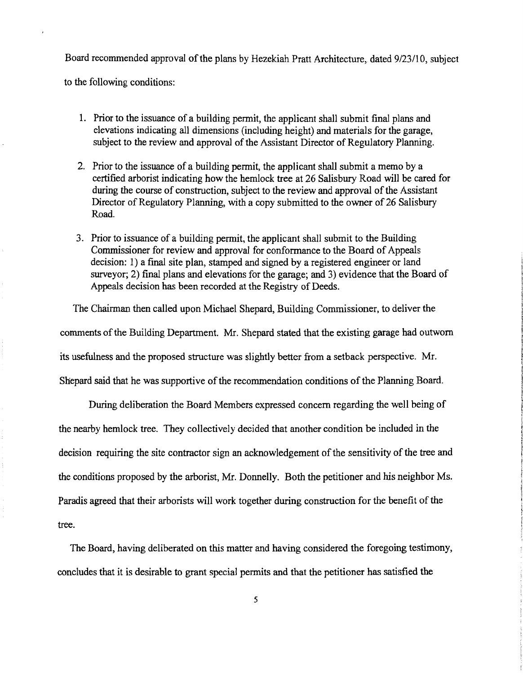Board recommended approval of the plans by Hezekiah Pratt Architecture, dated 9/23/10, subject to the following conditions:

- 1. Prior to the issuance of a building permit, the applicant shall submit final plans and elevations indicating all dimensions (including height) and materials for the garage, subject to the review and approval of the Assistant Director of Regulatory Planning.
- 2. Prior to the issuance of a building permit, the applicant shall submit a memo by a certified arborist indicating how the hemlock tree at 26 Salisbury Road will be cared for during the course of construction, subject to the review and approval of the Assistant Director of Regulatory Planning, with a copy submitted to the owner of 26 Salisbury Road.
- 3. Prior to issuance of a building permit, the applicant shall submit to the Building Commissioner for review and approval for conformance to the Board of Appeals decision: 1) a final site plan, stamped and signed by a registered engineer or land surveyor; 2) final plans and elevations for the garage; and 3) evidence that the Board of Appeals decision has been recorded at the Registry of Deeds.

The Chainnan then called upon Michael Shepard, Building Commissioner, to deliver the comments of the Building Department. Mr. Shepard stated that the existing garage had outworn its usefulness and the proposed structure was slightly better from a setback perspective. Mr. Shepard said that he was supportive of the recommendation conditions of the Planning Board.

During deliberation the Board Members expressed concern regarding the well being of the nearby hemlock tree. They collectively decided that another condition be included in the decision requiring the site contractor sign an acknowledgement of the sensitivity of the tree and the conditions proposed by the arborist, Mr. Donnelly. Both the petitioner and his neighbor Ms. Paradis agreed that their arborists will work together during construction for the benefit of the tree.

The Board, having deliberated on this matter and having considered the foregoing testimony, concludes that it is desirable to grant special pennits and that the petitioner has satisfied the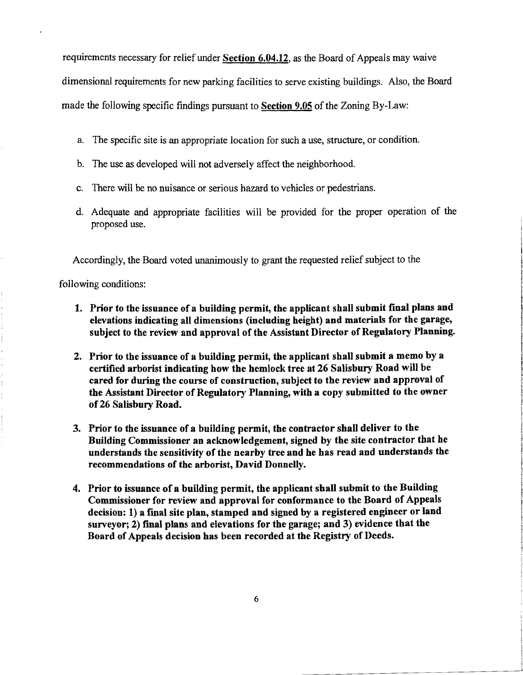requirements necessary for relief under Section 6.04.12, as the Board of Appeals may waive dimensional requirements for new parking facilities to serve existing buildings. Also, the Board made the following specific fmdings pursuant to Section 9.05 of the Zoning By-Law:

- a. The specific site is an appropriate location for such a use, structure, or condition.
- b. The use as developed will not adversely affect the neighborhood.
- c. There will be no nuisance or serious hazard to vehicles or pedestrians.
- d. Adequate and appropriate facilities will be provided for the proper operation of the proposed use.

Accordingly, the Board voted unanimously to grant the requested relief subject to the

following conditions:

- 1. Prior to the issuance of a building permit, the applicant shall submit final plans and elevations indicating all dimensions (including height) and materials for the garage, subject to the review and approval of the Assistant Director of Regulatory Planning.
- 2. Prior to the issuance of a building permit, the applicant shall submit a memo by a certified arborist indicating how the hemlock tree at 26 Salisbury Road will be cared for during the course of construction, subject to the review and approval of the Assistant Director of Regulatory Planning, with a copy submitted to the owner of 26 Salisbury Road.
- 3. Prior to the issuance of a building permit, the contractor shall deliver to the Building Commissioner an acknowledgement, signed by the site contractor that he understands the sensitivity of the nearby tree and he has read and understands the recommendations of the arborist, David Donnelly.
- 4. Prior to issuance of a building permit, the applicant shall submit to the Building Commissioner for review and approval for conformance to the Board of Appeals decision: 1) a final site plan, stamped and signed by a registered engineer or land surveyor; 2) final plans and elevations for the garage; and 3) evidence that the Board of Appeals decision has been recorded at the Registry of Deeds.